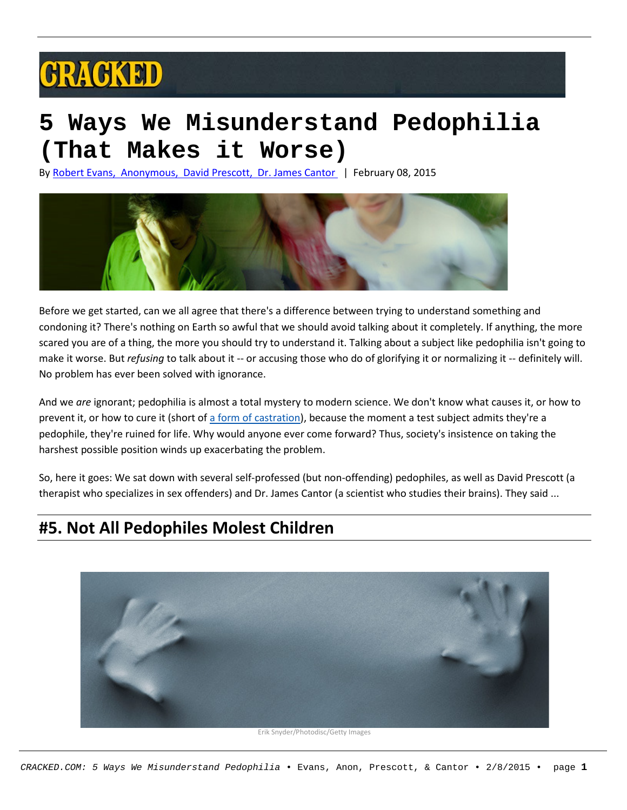# **GRAGKED**

## **5 Ways We Misunderstand Pedophilia (That Makes it Worse)**

By [Robert](http://www.cracked.com/members/PurpleTowel) Evans, [Anonymous,](http://www.cracked.com/members/PurpleTowel) David [Prescott,](http://www.cracked.com/members/Dprescott) Dr. James [Cantor](http://www.cracked.com/members/Dprescott) | February 08, 2015



Before we get started, can we all agree that there's a difference between trying to understand something and condoning it? There's nothing on Earth so awful that we should avoid talking about it completely. If anything, the more scared you are of a thing, the more you should try to understand it. Talking about a subject like pedophilia isn't going to make it worse. But *refusing* to talk about it -- or accusing those who do of glorifying it or normalizing it -- definitely will. No problem has ever been solved with ignorance.

And we *are* ignorant; pedophilia is almost a total mystery to modern science. We don't know what causes it, or how to prevent it, or how to cure it (short of a form of [castration\)](http://www.bostonmagazine.com/news/article/2014/02/25/chemical-castration/), because the moment a test subject admits they're a pedophile, they're ruined for life. Why would anyone ever come forward? Thus, society's insistence on taking the harshest possible position winds up exacerbating the problem.

So, here it goes: We sat down with several self-professed (but non-offending) pedophiles, as well as David Prescott (a therapist who specializes in sex offenders) and Dr. James Cantor (a scientist who studies their brains). They said ...

#### **#5. Not All Pedophiles Molest Children**



Erik Snyder/Photodisc/Getty Images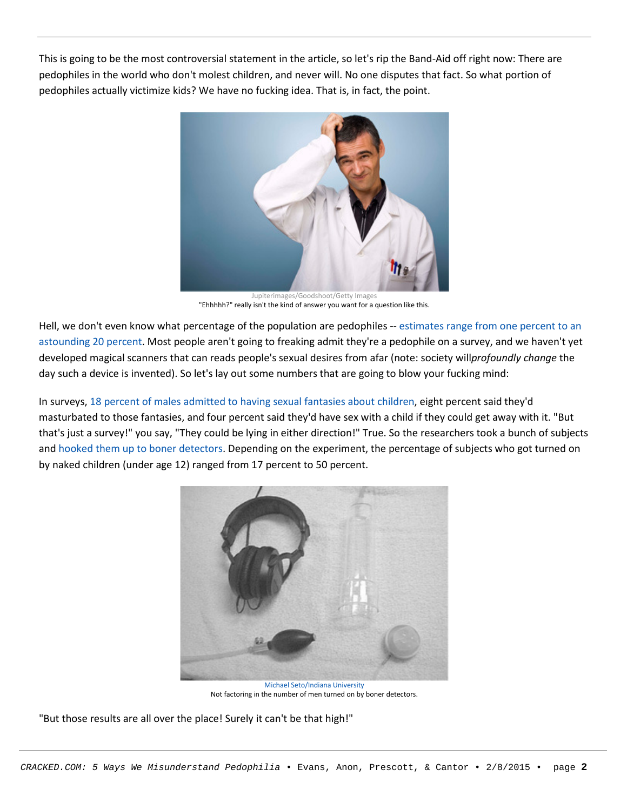This is going to be the most controversial statement in the article, so let's rip the Band-Aid off right now: There are pedophiles in the world who don't molest children, and never will. No one disputes that fact. So what portion of pedophiles actually victimize kids? We have no fucking idea. That is, in fact, the point.



Jupiterimages/Goodshoot/Getty Images "Ehhhhh?" really isn't the kind of answer you want for a question like this.

Hell, we don't even know what percentage of the population are pedophiles -- [estimates](http://www.theguardian.com/society/2013/jan/03/paedophilia-bringing-dark-desires-light) range from one percent to an [astounding](http://www.theguardian.com/society/2013/jan/03/paedophilia-bringing-dark-desires-light) 20 percent. Most people aren't going to freaking admit they're a pedophile on a survey, and we haven't yet developed magical scanners that can reads people's sexual desires from afar (note: society will*profoundly change* the day such a device is invented). So let's lay out some numbers that are going to blow your fucking mind:

In surveys, 18 percent of males [admitted](http://www.independent.co.uk/voices/comment/how-can-we-prevent-child-abuse-if-we-dont-understand-paedophilia-8438660.html) to having sexual fantasies about children, eight percent said they'd masturbated to those fantasies, and four percent said they'd have sex with a child if they could get away with it. "But that's just a survey!" you say, "They could be lying in either direction!" True. So the researchers took a bunch of subjects and hooked them up to boner [detectors.](http://en.wikipedia.org/wiki/Penile_plethysmograph) Depending on the experiment, the percentage of subjects who got turned on by naked children (under age 12) ranged from 17 percent to 50 percent.



Michael [Seto/Indiana](http://www.indiana.edu/~sexlab/ei-pv.html) University Not factoring in the number of men turned on by boner detectors.

"But those results are all over the place! Surely it can't be that high!"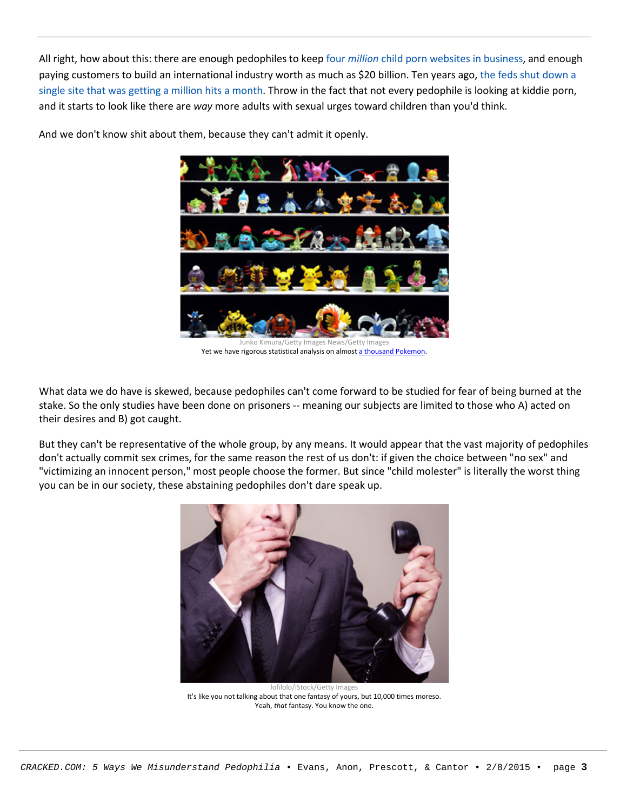All right, how about this: there are enough pedophiles to keep four *million* child porn websites in [business,](http://www.nbcnews.com/id/32880508/ns/technology_and_science-security/t/un-expert-child-porn-internet-increases/#.VLh4b0fF98E) and enough paying customers to build an international industry worth as much as \$20 billion. Ten years ago, the feds shut [down](http://www.cops.usdoj.gov/Publications/e04062000.pdf) a single site that was getting a million hits a [month.](http://www.cops.usdoj.gov/Publications/e04062000.pdf) Throw in the fact that not every pedophile is looking at kiddie porn, and it starts to look like there are *way* more adults with sexual urges toward children than you'd think.



And we don't know shit about them, because they can't admit it openly.

Yet we have rigorous statistical analysis on almost a thousand [Pokemon.](http://en.wikipedia.org/wiki/List_of_Pok%C3%A9mon)

What data we do have is skewed, because pedophiles can't come forward to be studied for fear of being burned at the stake. So the only studies have been done on prisoners -- meaning our subjects are limited to those who A) acted on their desires and B) got caught.

But they can't be representative of the whole group, by any means. It would appear that the vast majority of pedophiles don't actually commit sex crimes, for the same reason the rest of us don't: if given the choice between "no sex" and "victimizing an innocent person," most people choose the former. But since "child molester" is literally the worst thing you can be in our society, these abstaining pedophiles don't dare speak up.



Iofilolo/iStock/Getty Images It's like you not talking about that one fantasy of yours, but 10,000 times moreso. Yeah, *that* fantasy. You know the one.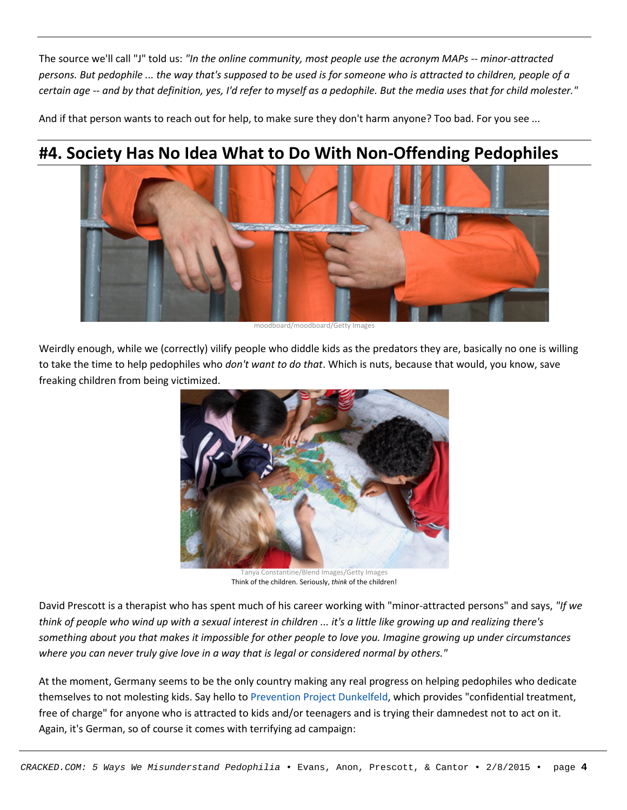The source we'll call "J" told us: *"In the online community, most people use the acronym MAPs -- minor-attracted* persons. But pedophile ... the way that's supposed to be used is for someone who is attracted to children, people of a certain age -- and by that definition, yes, I'd refer to myself as a pedophile. But the media uses that for child molester."

And if that person wants to reach out for help, to make sure they don't harm anyone? Too bad. For you see ...

#### **#4. Society Has No Idea What to Do With Non-Offending Pedophiles**



moodboard/moodboard/Getty Images

Weirdly enough, while we (correctly) vilify people who diddle kids as the predators they are, basically no one is willing to take the time to help pedophiles who *don't want to do that*. Which is nuts, because that would, you know, save freaking children from being victimized.



Tanya Constantine/Blend Images/Getty Images Think of the children. Seriously, *think* of the children!

David Prescott is a therapist who has spent much of his career working with "minor-attracted persons" and says, *"If we* think of people who wind up with a sexual interest in children ... it's a little like growing up and realizing there's something about you that makes it impossible for other people to love you. Imagine growing up under circumstances *where you can never truly give love in a way that is legal or considered normal by others."*

At the moment, Germany seems to be the only country making any real progress on helping pedophiles who dedicate themselves to not molesting kids. Say hello to Prevention Project [Dunkelfeld,](https://www.dont-offend.org/) which provides "confidential treatment, free of charge" for anyone who is attracted to kids and/or teenagers and is trying their damnedest not to act on it. Again, it's German, so of course it comes with terrifying ad campaign: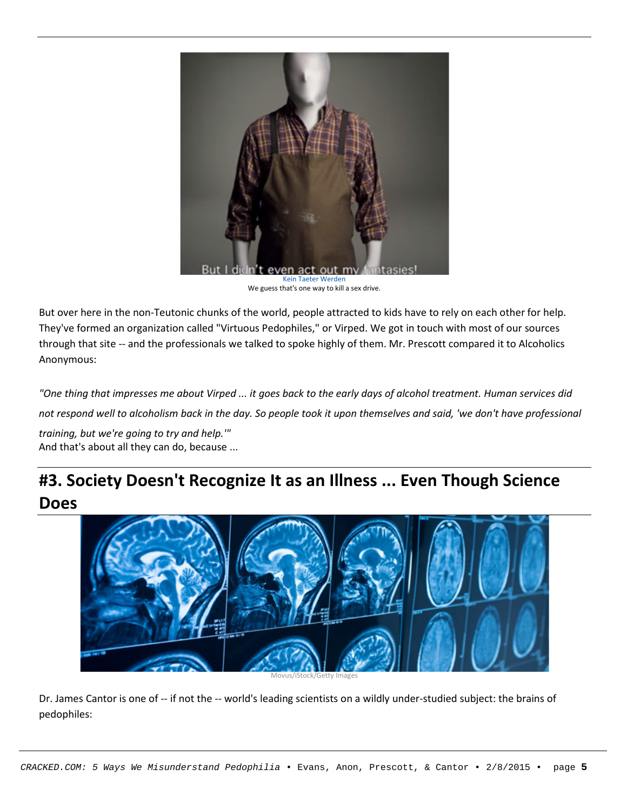

We guess that's one way to kill a sex drive.

But over here in the non-Teutonic chunks of the world, people attracted to kids have to rely on each other for help. They've formed an organization called "Virtuous Pedophiles," or Virped. We got in touch with most of our sources through that site -- and the professionals we talked to spoke highly of them. Mr. Prescott compared it to Alcoholics Anonymous:

"One thing that impresses me about Virped ... it goes back to the early days of alcohol treatment. Human services did not respond well to alcoholism back in the day. So people took it upon themselves and said, 'we don't have professional

*training, but we're going to try and help.'"* And that's about all they can do, because ...

### **#3. Society Doesn't Recognize It as an Illness ... Even Though Science Does**



Movus/iStock/Getty Images

Dr. James Cantor is one of -- if not the -- world's leading scientists on a wildly under-studied subject: the brains of pedophiles: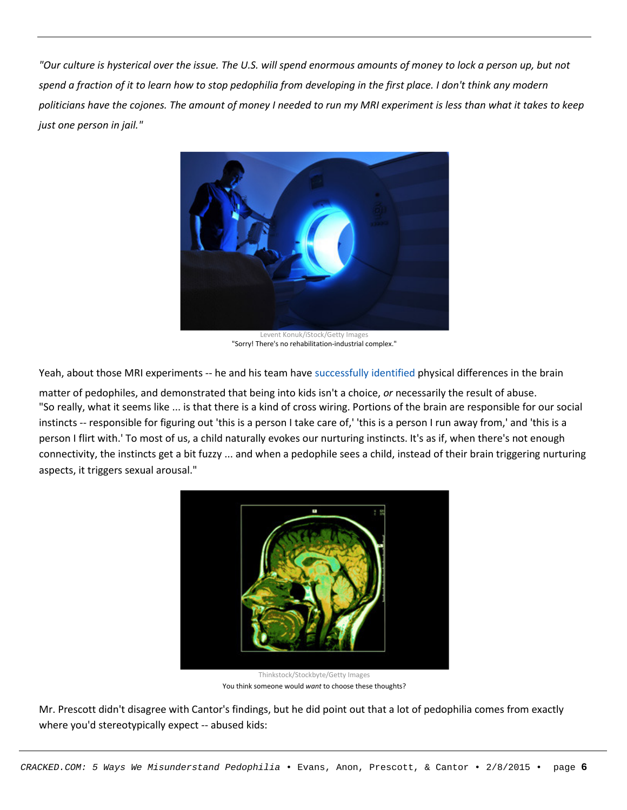"Our culture is hysterical over the issue. The U.S. will spend enormous amounts of money to lock a person up, but not spend a fraction of it to learn how to stop pedophilia from developing in the first place. I don't think any modern politicians have the cojones. The amount of money I needed to run my MRI experiment is less than what it takes to keep *just one person in jail."*



Levent Konuk/iStock/Getty Images "Sorry! There's no rehabilitation-industrial complex."

Yeah, about those MRI experiments -- he and his team have [successfully](http://www.thestar.com/news/insight/2013/12/22/is_pedophilia_a_sexual_orientation.html) identified physical differences in the brain

matter of pedophiles, and demonstrated that being into kids isn't a choice, *or* necessarily the result of abuse. "So really, what it seems like ... is that there is a kind of cross wiring. Portions of the brain are responsible for our social instincts -- responsible for figuring out 'this is a person I take care of,' 'this is a person I run away from,' and 'this is a person I flirt with.' To most of us, a child naturally evokes our nurturing instincts. It's as if, when there's not enough connectivity, the instincts get a bit fuzzy ... and when a pedophile sees a child, instead of their brain triggering nurturing aspects, it triggers sexual arousal."



Thinkstock/Stockbyte/Getty Images You think someone would *want* to choose these thoughts?

Mr. Prescott didn't disagree with Cantor's findings, but he did point out that a lot of pedophilia comes from exactly where you'd stereotypically expect -- abused kids: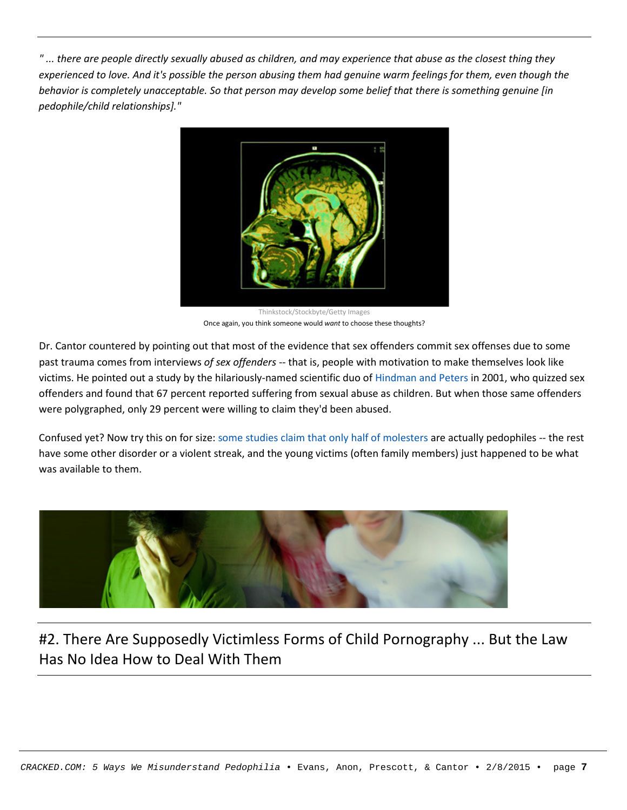"... there are people directly sexually abused as children, and may experience that abuse as the closest thing they experienced to love. And it's possible the person abusing them had genuine warm feelings for them, even though the behavior is completely unacceptable. So that person may develop some belief that there is something genuine [in *pedophile/child relationships]."*



Thinkstock/Stockbyte/Getty Images Once again, you think someone would *want* to choose these thoughts?

Dr. Cantor countered by pointing out that most of the evidence that sex offenders commit sex offenses due to some past trauma comes from interviews *of sex offenders* -- that is, people with motivation to make themselves look like victims. He pointed out a study by the hilariously-named scientific duo of [Hindman](http://www.criminaljustice.ny.gov/nsor/som_mythsandfacts.htm) and Peters in 2001, who quizzed sex offenders and found that 67 percent reported suffering from sexual abuse as children. But when those same offenders were polygraphed, only 29 percent were willing to claim they'd been abused.

Confused yet? Now try this on for size: some studies claim that only half of [molesters](http://articles.latimes.com/2013/jan/14/local/la-me-pedophiles-20130115) are actually pedophiles -- the rest have some other disorder or a violent streak, and the young victims (often family members) just happened to be what was available to them.



#### #2. There Are Supposedly Victimless Forms of Child Pornography ... But the Law Has No Idea How to Deal With Them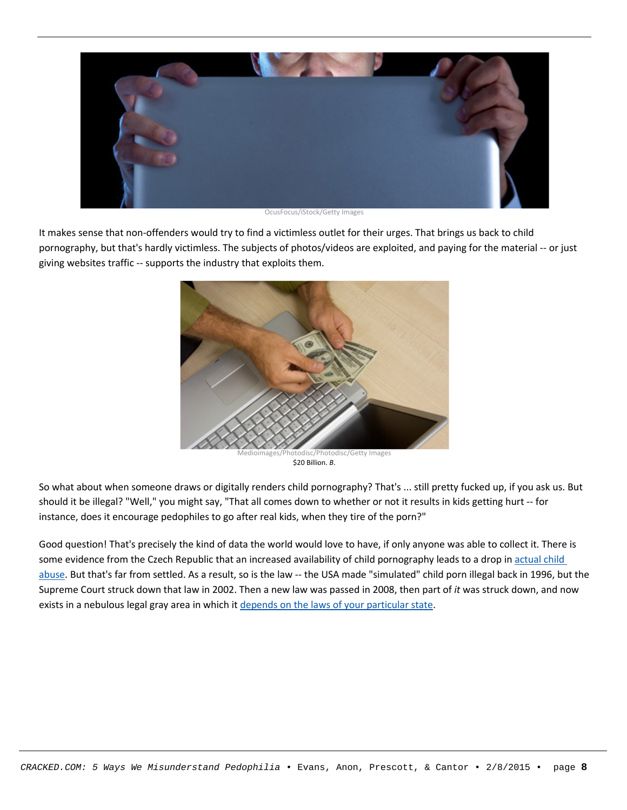

OcusFocus/iStock/Getty Images

It makes sense that non-offenders would try to find a victimless outlet for their urges. That brings us back to child pornography, but that's hardly victimless. The subjects of photos/videos are exploited, and paying for the material -- or just giving websites traffic -- supports the industry that exploits them.



\$20 Billion. *B*.

So what about when someone draws or digitally renders child pornography? That's ... still pretty fucked up, if you ask us. But should it be illegal? "Well," you might say, "That all comes down to whether or not it results in kids getting hurt -- for instance, does it encourage pedophiles to go after real kids, when they tire of the porn?"

Good question! That's precisely the kind of data the world would love to have, if only anyone was able to collect it. There is some evidence from the Czech Republic that an increased availability of child pornography leads to a drop in [actual](http://www.sciencedaily.com/releases/2010/11/101130111326.htm) child [abuse.](http://www.sciencedaily.com/releases/2010/11/101130111326.htm) But that's far from settled. As a result, so is the law -- the USA made "simulated" child porn illegal back in 1996, but the Supreme Court struck down that law in 2002. Then a new law was passed in 2008, then part of *it* was struck down, and now exists in a nebulous legal gray area in which it depends on the laws of your [particular](http://en.wikipedia.org/wiki/Legal_status_of_cartoon_pornography_depicting_minors) state.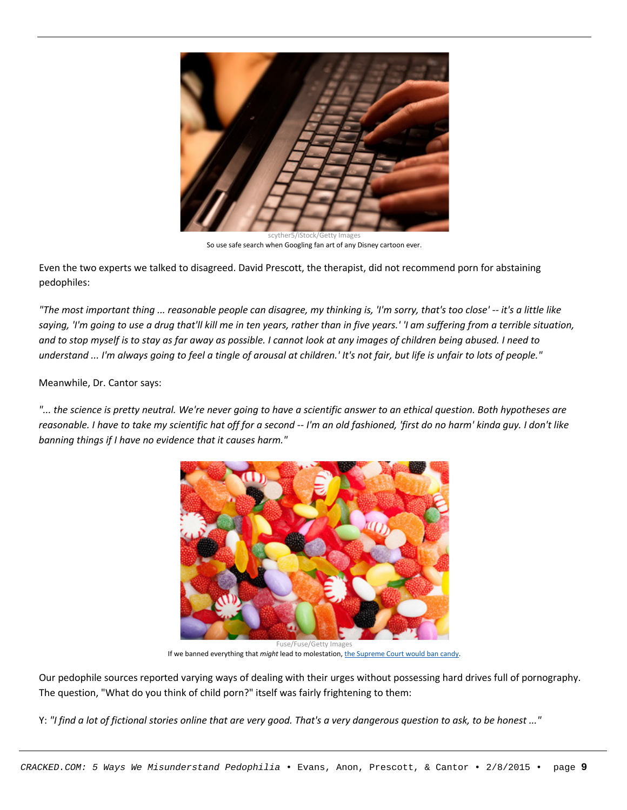

scyther5/iStock/Getty Images So use safe search when Googling fan art of any Disney cartoon ever.

Even the two experts we talked to disagreed. David Prescott, the therapist, did not recommend porn for abstaining pedophiles:

"The most important thing ... reasonable people can disagree, my thinking is, 'I'm sorry, that's too close' -- it's a little like saying, 'I'm going to use a drug that'll kill me in ten years, rather than in five years.' 'I am suffering from a terrible situation, and to stop myself is to stay as far away as possible. I cannot look at any images of children being abused. I need to understand ... I'm always going to feel a tingle of arousal at children.' It's not fair, but life is unfair to lots of people."

Meanwhile, Dr. Cantor says:

"... the science is pretty neutral. We're never going to have a scientific answer to an ethical question. Both hypotheses are reasonable. I have to take my scientific hat off for a second -- I'm an old fashioned, 'first do no harm' kinda guy. I don't like *banning things if I have no evidence that it causes harm."*



Fuse/Fuse/Getty Images If we banned everything that *might* lead to molestation, the [Supreme](http://articles.latimes.com/2002/apr/17/news/mn-38317/2) Court would ban candy.

Our pedophile sources reported varying ways of dealing with their urges without possessing hard drives full of pornography. The question, "What do you think of child porn?" itself was fairly frightening to them:

Y: "I find a lot of fictional stories online that are very good. That's a very dangerous question to ask, to be honest ..."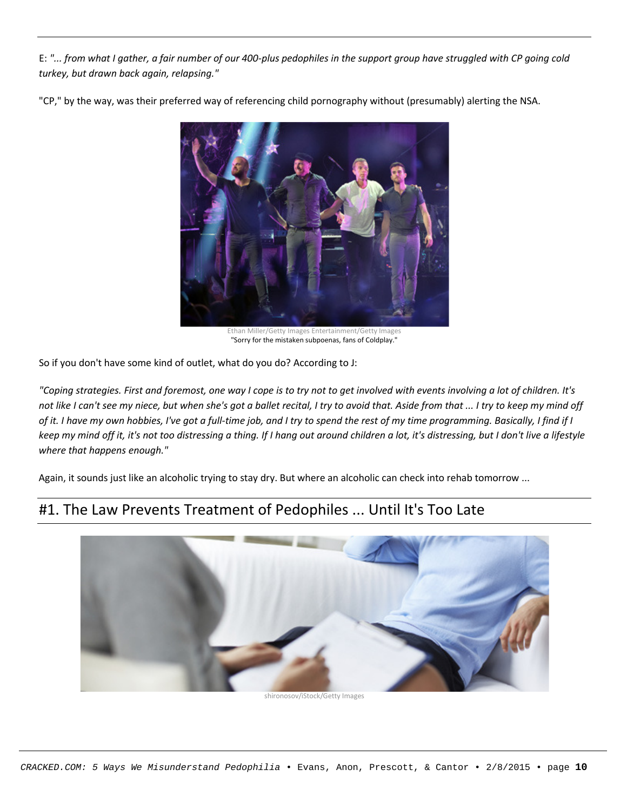E: "... from what I gather, a fair number of our 400-plus pedophiles in the support group have struggled with CP going cold *turkey, but drawn back again, relapsing."*

"CP," by the way, was their preferred way of referencing child pornography without (presumably) alerting the NSA.



Ethan Miller/Getty Images Entertainment/Getty Images "Sorry for the mistaken subpoenas, fans of Coldplay."

So if you don't have some kind of outlet, what do you do? According to J:

"Coping strategies. First and foremost, one way I cope is to try not to get involved with events involving a lot of children. It's not like I can't see my niece, but when she's got a ballet recital, I try to avoid that. Aside from that ... I try to keep my mind off of it. I have my own hobbies, I've got a full-time job, and I try to spend the rest of my time programming. Basically, I find if I keep my mind off it, it's not too distressing a thing. If I hang out around children a lot, it's distressing, but I don't live a lifestyle *where that happens enough."*

Again, it sounds just like an alcoholic trying to stay dry. But where an alcoholic can check into rehab tomorrow ...

#### #1. The Law Prevents Treatment of Pedophiles ... Until It's Too Late



shironosov/iStock/Getty Images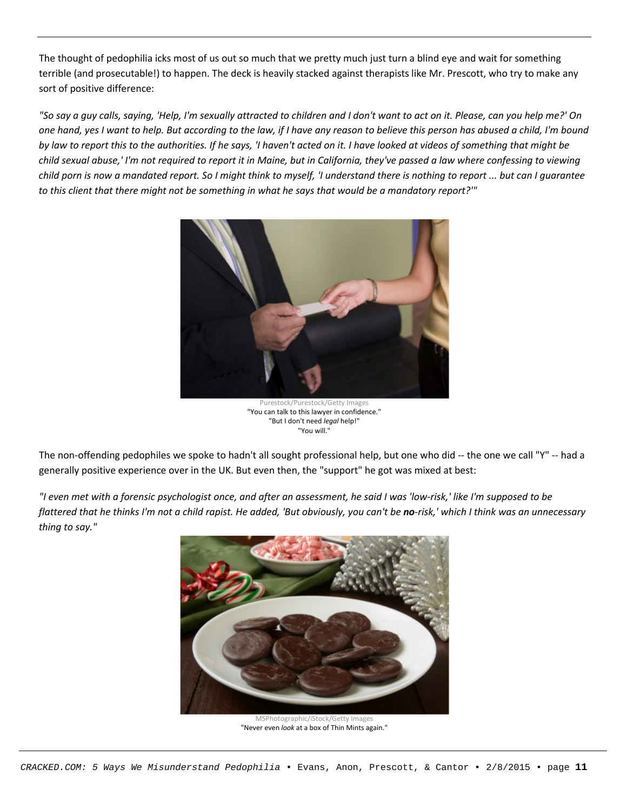The thought of pedophilia icks most of us out so much that we pretty much just turn a blind eye and wait for something terrible (and prosecutable!) to happen. The deck is heavily stacked against therapists like Mr. Prescott, who try to make any sort of positive difference:

"So say a guy calls, saying, 'Help, I'm sexually attracted to children and I don't want to act on it. Please, can you help me?' On one hand, yes I want to help. But according to the law, if I have any reason to believe this person has abused a child, I'm bound by law to report this to the authorities. If he says, 'I haven't acted on it. I have looked at videos of something that might be child sexual abuse,' I'm not required to report it in Maine, but in California, they've passed a law where confessing to viewing child porn is now a mandated report. So I might think to myself, 'I understand there is nothing to report ... but can I quarantee to this client that there might not be something in what he says that would be a mandatory report?"



Purestock/Purestock/Getty Images "You can talk to this lawyer in confidence." "But I don't need *legal* help!" "You will."

The non-offending pedophiles we spoke to hadn't all sought professional help, but one who did -- the one we call "Y" -- had a generally positive experience over in the UK. But even then, the "support" he got was mixed at best:

"I even met with a forensic psychologist once, and after an assessment, he said I was 'low-risk,' like I'm supposed to be flattered that he thinks I'm not a child rapist. He added, 'But obviously, you can't be no-risk,' which I think was an unnecessary *thing to say."*



MSPhotographic/iStock/Getty Images "Never even *look* at a box of Thin Mints again."